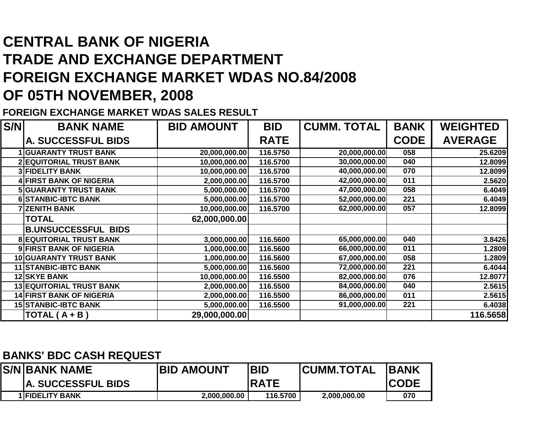## **CENTRAL BANK OF NIGERIA TRADE AND EXCHANGE DEPARTMENT FOREIGN EXCHANGE MARKET WDAS NO.84/2008OF 05TH NOVEMBER, 2008**

**FOREIGN EXCHANGE MARKET WDAS SALES RESULT**

| S/N | <b>BANK NAME</b>                | <b>BID AMOUNT</b> | <b>BID</b>  | <b>CUMM. TOTAL</b> | <b>BANK</b> | <b>WEIGHTED</b> |
|-----|---------------------------------|-------------------|-------------|--------------------|-------------|-----------------|
|     | A. SUCCESSFUL BIDS              |                   | <b>RATE</b> |                    | <b>CODE</b> | <b>AVERAGE</b>  |
|     | <b>1 GUARANTY TRUST BANK</b>    | 20,000,000.00     | 116.5750    | 20,000,000.00      | 058         | 25.6209         |
|     | <b>2 EQUITORIAL TRUST BANK</b>  | 10,000,000.00     | 116.5700    | 30,000,000.00      | 040         | 12.8099         |
|     | <b>3 FIDELITY BANK</b>          | 10,000,000.00     | 116.5700    | 40,000,000.00      | 070         | 12.8099         |
|     | 4 FIRST BANK OF NIGERIA         | 2,000,000.00      | 116.5700    | 42,000,000.00      | 011         | 2.5620          |
|     | <b>5 GUARANTY TRUST BANK</b>    | 5,000,000.00      | 116.5700    | 47,000,000.00      | 058         | 6.4049          |
|     | <b>6 STANBIC-IBTC BANK</b>      | 5,000,000.00      | 116.5700    | 52,000,000.00      | 221         | 6.4049          |
|     | <b>7 ZENITH BANK</b>            | 10,000,000.00     | 116.5700    | 62,000,000.00      | 057         | 12.8099         |
|     | <b>TOTAL</b>                    | 62,000,000.00     |             |                    |             |                 |
|     | <b>B.UNSUCCESSFUL BIDS</b>      |                   |             |                    |             |                 |
|     | <b>8 EQUITORIAL TRUST BANK</b>  | 3,000,000.00      | 116.5600    | 65,000,000.00      | 040         | 3.8426          |
|     | 9 FIRST BANK OF NIGERIA         | 1,000,000.00      | 116.5600    | 66,000,000.00      | 011         | 1.2809          |
|     | 10 GUARANTY TRUST BANK          | 1,000,000.00      | 116.5600    | 67,000,000.00      | 058         | 1.2809          |
|     | 11 STANBIC-IBTC BANK            | 5,000,000.00      | 116.5600    | 72,000,000.00      | 221         | 6.4044          |
|     | <b>12 SKYE BANK</b>             | 10,000,000.00     | 116.5500    | 82,000,000.00      | 076         | 12.8077         |
|     | <b>13 EQUITORIAL TRUST BANK</b> | 2,000,000.00      | 116.5500    | 84,000,000.00      | 040         | 2.5615          |
|     | <b>14 FIRST BANK OF NIGERIA</b> | 2,000,000.00      | 116.5500    | 86,000,000.00      | 011         | 2.5615          |
|     | <b>15 STANBIC-IBTC BANK</b>     | 5,000,000.00      | 116.5500    | 91,000,000.00      | 221         | 6.4038          |
|     | TOTAL $(A + B)$                 | 29,000,000.00     |             |                    |             | 116.5658        |

## **BANKS' BDC CASH REQUEST**

| IS/NIBANK NAME            | <b>BID AMOUNT</b> | IBID         | <b>ICUMM.TOTAL</b> | <b>IBANK</b> |
|---------------------------|-------------------|--------------|--------------------|--------------|
| <b>A. SUCCESSFUL BIDS</b> |                   | <b>IRATE</b> |                    | <b>ICODE</b> |
| <b>1 FIDELITY BANK</b>    | 2,000,000.00      | 116.5700     | 2,000,000.00       | 070          |